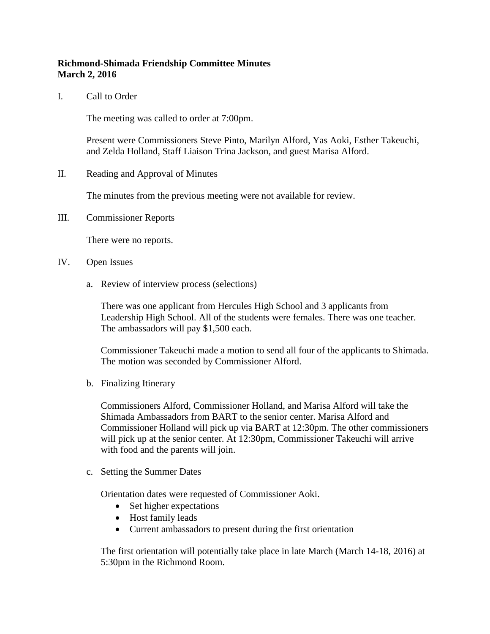## **Richmond-Shimada Friendship Committee Minutes March 2, 2016**

I. Call to Order

The meeting was called to order at 7:00pm.

Present were Commissioners Steve Pinto, Marilyn Alford, Yas Aoki, Esther Takeuchi, and Zelda Holland, Staff Liaison Trina Jackson, and guest Marisa Alford.

II. Reading and Approval of Minutes

The minutes from the previous meeting were not available for review.

III. Commissioner Reports

There were no reports.

- IV. Open Issues
	- a. Review of interview process (selections)

There was one applicant from Hercules High School and 3 applicants from Leadership High School. All of the students were females. There was one teacher. The ambassadors will pay \$1,500 each.

Commissioner Takeuchi made a motion to send all four of the applicants to Shimada. The motion was seconded by Commissioner Alford.

b. Finalizing Itinerary

Commissioners Alford, Commissioner Holland, and Marisa Alford will take the Shimada Ambassadors from BART to the senior center. Marisa Alford and Commissioner Holland will pick up via BART at 12:30pm. The other commissioners will pick up at the senior center. At 12:30pm, Commissioner Takeuchi will arrive with food and the parents will join.

c. Setting the Summer Dates

Orientation dates were requested of Commissioner Aoki.

- Set higher expectations
- Host family leads
- Current ambassadors to present during the first orientation

The first orientation will potentially take place in late March (March 14-18, 2016) at 5:30pm in the Richmond Room.